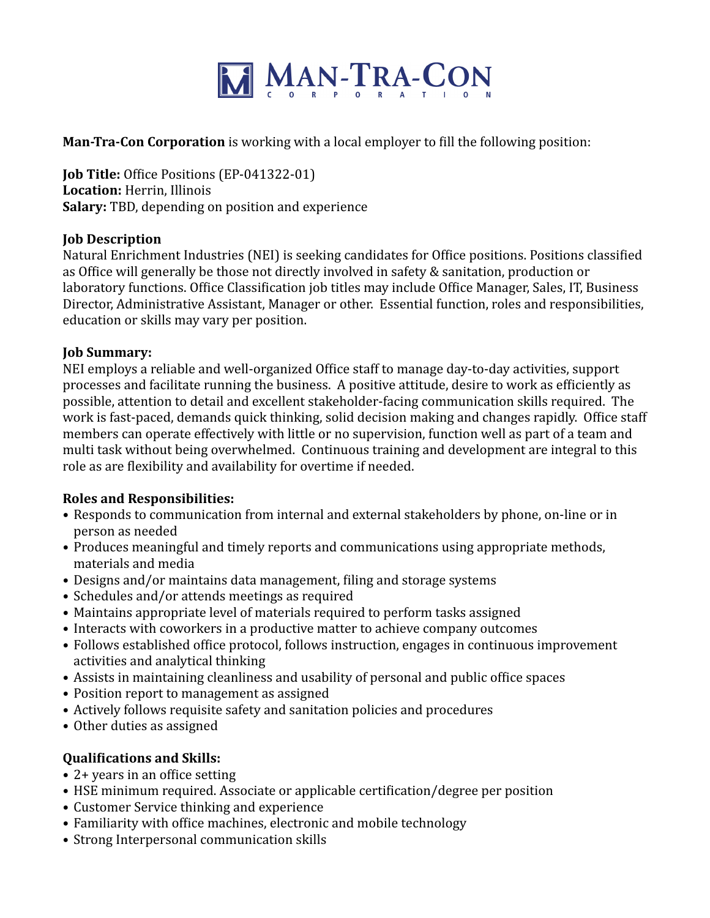

**Man-Tra-Con Corporation** is working with a local employer to fill the following position:

**Job Title:** Office Positions (EP-041322-01) **Location:** Herrin, Illinois **Salary:** TBD, depending on position and experience

# **Job Description**

Natural Enrichment Industries (NEI) is seeking candidates for Office positions. Positions classified as Office will generally be those not directly involved in safety & sanitation, production or laboratory functions. Office Classification job titles may include Office Manager, Sales, IT, Business Director, Administrative Assistant, Manager or other. Essential function, roles and responsibilities, education or skills may vary per position.

# **Job Summary:**

NEI employs a reliable and well-organized Office staff to manage day-to-day activities, support processes and facilitate running the business. A positive attitude, desire to work as efficiently as possible, attention to detail and excellent stakeholder-facing communication skills required. The work is fast-paced, demands quick thinking, solid decision making and changes rapidly. Office staff members can operate effectively with little or no supervision, function well as part of a team and multi task without being overwhelmed. Continuous training and development are integral to this role as are flexibility and availability for overtime if needed.

# **Roles and Responsibilities:**

- Responds to communication from internal and external stakeholders by phone, on-line or in person as needed
- Produces meaningful and timely reports and communications using appropriate methods, materials and media
- Designs and/or maintains data management, filing and storage systems
- Schedules and/or attends meetings as required
- Maintains appropriate level of materials required to perform tasks assigned
- Interacts with coworkers in a productive matter to achieve company outcomes
- Follows established office protocol, follows instruction, engages in continuous improvement activities and analytical thinking
- Assists in maintaining cleanliness and usability of personal and public office spaces
- Position report to management as assigned
- Actively follows requisite safety and sanitation policies and procedures
- Other duties as assigned

# **Qualifications and Skills:**

- 2+ years in an office setting
- HSE minimum required. Associate or applicable certification/degree per position
- Customer Service thinking and experience
- Familiarity with office machines, electronic and mobile technology
- Strong Interpersonal communication skills